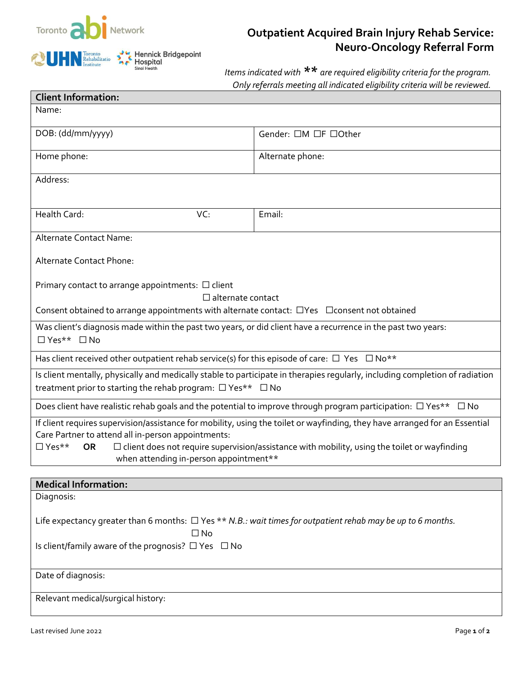

## Hennick Bridgepoint<br>Hospital<br><sub>Sinai Health</sub>  $\sum_{n=1}^{N}$  $\bigcirc$  UHN  $_{\text{Institute}}^{\text{Toronto}}$

## **Outpatient Acquired Brain Injury Rehab Service: Neuro-Oncology Referral Form**

*Items indicated with \*\* are required eligibility criteria for the program. Only referrals meeting all indicated eligibility criteria will be reviewed.*

| <b>Client Information:</b>                                                                                                                                                                    |                      |  |
|-----------------------------------------------------------------------------------------------------------------------------------------------------------------------------------------------|----------------------|--|
| Name:                                                                                                                                                                                         |                      |  |
| DOB: (dd/mm/yyyy)                                                                                                                                                                             | Gender: □M □F □Other |  |
| Home phone:                                                                                                                                                                                   | Alternate phone:     |  |
| Address:                                                                                                                                                                                      |                      |  |
| Health Card:<br>VC:                                                                                                                                                                           | Email:               |  |
| Alternate Contact Name:                                                                                                                                                                       |                      |  |
| Alternate Contact Phone:                                                                                                                                                                      |                      |  |
| Primary contact to arrange appointments: $\Box$ client<br>$\Box$ alternate contact<br>Consent obtained to arrange appointments with alternate contact: $\Box$ Yes $\Box$ Consent not obtained |                      |  |
| Was client's diagnosis made within the past two years, or did client have a recurrence in the past two years:<br>□ Yes** □ No                                                                 |                      |  |
| Has client received other outpatient rehab service(s) for this episode of care: $\Box$ Yes $\Box$ No**                                                                                        |                      |  |
| Is client mentally, physically and medically stable to participate in therapies regularly, including completion of radiation<br>treatment prior to starting the rehab program: □ Yes** □ No   |                      |  |
| Does client have realistic rehab goals and the potential to improve through program participation: $\Box$ Yes** $\Box$ No                                                                     |                      |  |
| If client requires supervision/assistance for mobility, using the toilet or wayfinding, they have arranged for an Essential<br>Care Partner to attend all in-person appointments:             |                      |  |
| $\Box$ Yes**<br>$\Box$ client does not require supervision/assistance with mobility, using the toilet or wayfinding<br><b>OR</b><br>when attending in-person appointment**                    |                      |  |
| <b>Medical Information:</b>                                                                                                                                                                   |                      |  |

| <b>Medical Information:</b>                                                                                       |
|-------------------------------------------------------------------------------------------------------------------|
| Diagnosis:                                                                                                        |
|                                                                                                                   |
| Life expectancy greater than 6 months: $\Box$ Yes ** N.B.: wait times for outpatient rehab may be up to 6 months. |
| $\square$ No                                                                                                      |
| Is client/family aware of the prognosis? $\Box$ Yes $\Box$ No                                                     |
|                                                                                                                   |
| Date of diagnosis:                                                                                                |
|                                                                                                                   |
| Relevant medical/surgical history:                                                                                |
|                                                                                                                   |